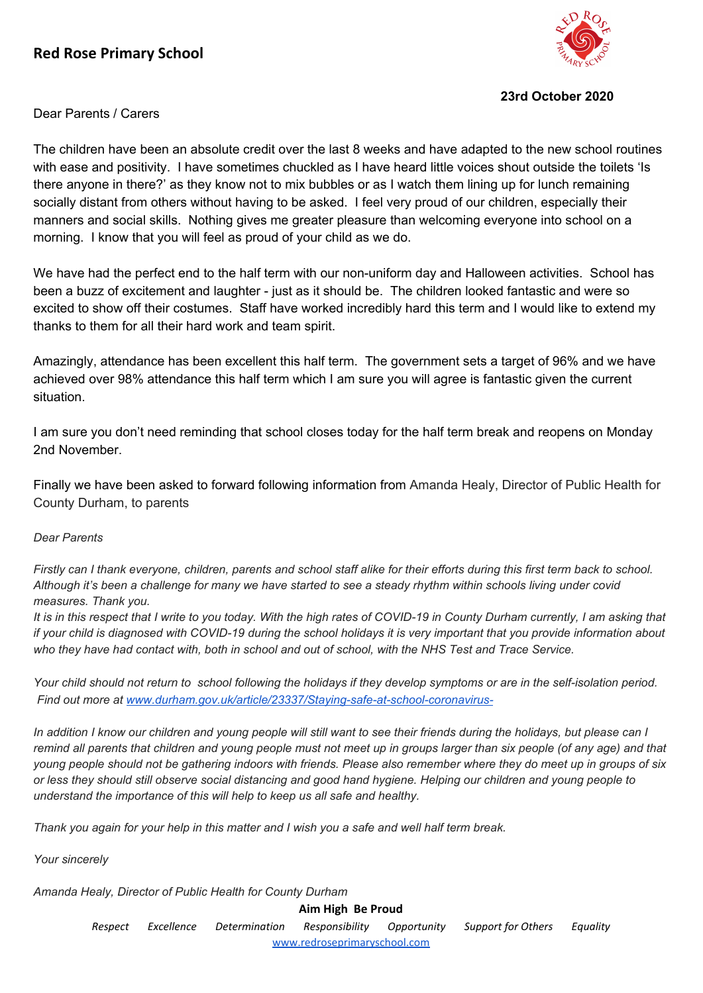

## **23rd October 2020**

## Dear Parents / Carers

The children have been an absolute credit over the last 8 weeks and have adapted to the new school routines with ease and positivity. I have sometimes chuckled as I have heard little voices shout outside the toilets 'Is there anyone in there?' as they know not to mix bubbles or as I watch them lining up for lunch remaining socially distant from others without having to be asked. I feel very proud of our children, especially their manners and social skills. Nothing gives me greater pleasure than welcoming everyone into school on a morning. I know that you will feel as proud of your child as we do.

We have had the perfect end to the half term with our non-uniform day and Halloween activities. School has been a buzz of excitement and laughter - just as it should be. The children looked fantastic and were so excited to show off their costumes. Staff have worked incredibly hard this term and I would like to extend my thanks to them for all their hard work and team spirit.

Amazingly, attendance has been excellent this half term. The government sets a target of 96% and we have achieved over 98% attendance this half term which I am sure you will agree is fantastic given the current situation.

I am sure you don't need reminding that school closes today for the half term break and reopens on Monday 2nd November.

Finally we have been asked to forward following information from Amanda Healy, Director of Public Health for County Durham, to parents

## *Dear Parents*

Firstly can I thank everyone, children, parents and school staff alike for their efforts during this first term back to school. Although it's been a challenge for many we have started to see a steady rhythm within schools living under covid *measures. Thank you.*

It is in this respect that I write to you today. With the high rates of COVID-19 in County Durham currently, I am asking that if your child is diagnosed with COVID-19 during the school holidays it is very important that you provide information about who they have had contact with, both in school and out of school, with the NHS Test and Trace Service.

Your child should not return to school following the holidays if they develop symptoms or are in the self-isolation period. *Find out more at [www.durham.gov.uk/article/23337/Staying-safe-at-school-coronavirus-](http://www.durham.gov.uk/article/23337/Staying-safe-at-school-coronavirus-)*

In addition I know our children and young people will still want to see their friends during the holidays, but please can I remind all parents that children and young people must not meet up in groups larger than six people (of any age) and that young people should not be gathering indoors with friends. Please also remember where they do meet up in groups of six or less they should still observe social distancing and good hand hygiene. Helping our children and young people to *understand the importance of this will help to keep us all safe and healthy.*

Thank you again for your help in this matter and I wish you a safe and well half term break.

*Your sincerely*

*Amanda Healy, Director of Public Health for County Durham*